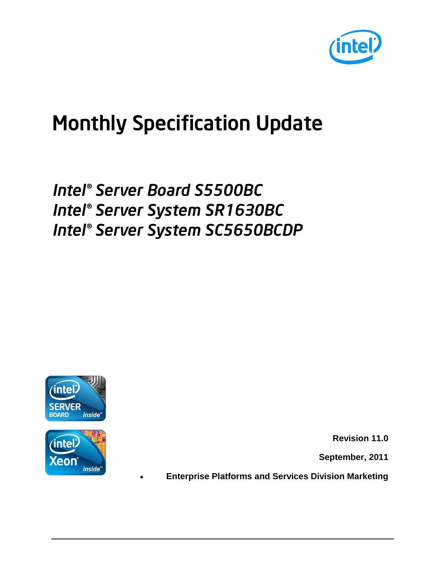

# Monthly Specification Update

# *Intel® Server Board S5500BC Intel® Server System SR1630BC Intel® Server System SC5650BCDP*



inside

eon

**Revision 11.0**

**September, 2011**

**Enterprise Platforms and Services Division Marketing**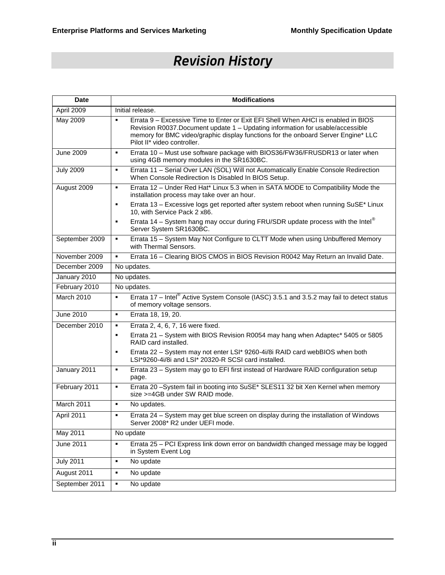### *Revision History*

| <b>Date</b>       | <b>Modifications</b>                                                                                                                                                                                                                                                                                     |  |
|-------------------|----------------------------------------------------------------------------------------------------------------------------------------------------------------------------------------------------------------------------------------------------------------------------------------------------------|--|
| April 2009        | Initial release.                                                                                                                                                                                                                                                                                         |  |
| May 2009          | Errata 9 – Excessive Time to Enter or Exit EFI Shell When AHCI is enabled in BIOS<br>$\blacksquare$<br>Revision R0037.Document update 1 - Updating information for usable/accessible<br>memory for BMC video/graphic display functions for the onboard Server Engine* LLC<br>Pilot II* video controller. |  |
| <b>June 2009</b>  | Errata 10 - Must use software package with BIOS36/FW36/FRUSDR13 or later when<br>٠<br>using 4GB memory modules in the SR1630BC.                                                                                                                                                                          |  |
| <b>July 2009</b>  | Errata 11 - Serial Over LAN (SOL) Will not Automatically Enable Console Redirection<br>٠<br>When Console Redirection Is Disabled In BIOS Setup.                                                                                                                                                          |  |
| August 2009       | Errata 12 - Under Red Hat* Linux 5.3 when in SATA MODE to Compatibility Mode the<br>٠<br>installation process may take over an hour.                                                                                                                                                                     |  |
|                   | Errata 13 - Excessive logs get reported after system reboot when running SuSE* Linux<br>٠<br>10, with Service Pack 2 x86.                                                                                                                                                                                |  |
|                   | Errata 14 - System hang may occur during FRU/SDR update process with the Intel®<br>٠<br>Server System SR1630BC.                                                                                                                                                                                          |  |
| September 2009    | Errata 15 - System May Not Configure to CLTT Mode when using Unbuffered Memory<br>٠<br>with Thermal Sensors.                                                                                                                                                                                             |  |
| November 2009     | Errata 16 - Clearing BIOS CMOS in BIOS Revision R0042 May Return an Invalid Date.<br>٠                                                                                                                                                                                                                   |  |
| December 2009     | No updates.                                                                                                                                                                                                                                                                                              |  |
| January 2010      | No updates.                                                                                                                                                                                                                                                                                              |  |
| February 2010     | No updates.                                                                                                                                                                                                                                                                                              |  |
| <b>March 2010</b> | Errata 17 - Intel® Active System Console (IASC) 3.5.1 and 3.5.2 may fail to detect status<br>٠<br>of memory voltage sensors.                                                                                                                                                                             |  |
| June 2010         | Errata 18, 19, 20.<br>$\blacksquare$                                                                                                                                                                                                                                                                     |  |
| December 2010     | Errata 2, 4, 6, 7, 16 were fixed.<br>٠                                                                                                                                                                                                                                                                   |  |
|                   | Errata 21 - System with BIOS Revision R0054 may hang when Adaptec* 5405 or 5805<br>٠<br>RAID card installed.                                                                                                                                                                                             |  |
|                   | Errata 22 - System may not enter LSI* 9260-4i/8i RAID card webBIOS when both<br>٠<br>LSI*9260-4i/8i and LSI* 20320-R SCSI card installed.                                                                                                                                                                |  |
| January 2011      | Errata 23 - System may go to EFI first instead of Hardware RAID configuration setup<br>٠<br>page.                                                                                                                                                                                                        |  |
| February 2011     | Errata 20 -System fail in booting into SuSE* SLES11 32 bit Xen Kernel when memory<br>٠<br>size >=4GB under SW RAID mode.                                                                                                                                                                                 |  |
| March 2011        | No updates.<br>$\blacksquare$                                                                                                                                                                                                                                                                            |  |
| April 2011        | Errata 24 - System may get blue screen on display during the installation of Windows<br>٠<br>Server 2008* R2 under UEFI mode.                                                                                                                                                                            |  |
| <b>May 2011</b>   | No update                                                                                                                                                                                                                                                                                                |  |
| June 2011         | Errata 25 - PCI Express link down error on bandwidth changed message may be logged<br>٠<br>in System Event Log                                                                                                                                                                                           |  |
| <b>July 2011</b>  | No update<br>٠                                                                                                                                                                                                                                                                                           |  |
| August 2011       | No update<br>٠                                                                                                                                                                                                                                                                                           |  |
| September 2011    | No update<br>٠                                                                                                                                                                                                                                                                                           |  |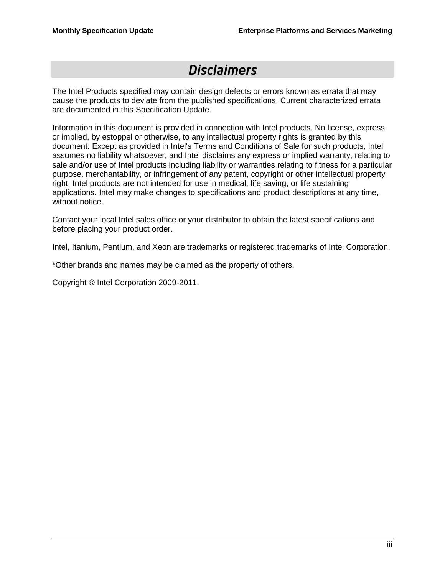### *Disclaimers*

The Intel Products specified may contain design defects or errors known as errata that may cause the products to deviate from the published specifications. Current characterized errata are documented in this Specification Update.

Information in this document is provided in connection with Intel products. No license, express or implied, by estoppel or otherwise, to any intellectual property rights is granted by this document. Except as provided in Intel's Terms and Conditions of Sale for such products, Intel assumes no liability whatsoever, and Intel disclaims any express or implied warranty, relating to sale and/or use of Intel products including liability or warranties relating to fitness for a particular purpose, merchantability, or infringement of any patent, copyright or other intellectual property right. Intel products are not intended for use in medical, life saving, or life sustaining applications. Intel may make changes to specifications and product descriptions at any time, without notice.

Contact your local Intel sales office or your distributor to obtain the latest specifications and before placing your product order.

Intel, Itanium, Pentium, and Xeon are trademarks or registered trademarks of Intel Corporation.

\*Other brands and names may be claimed as the property of others.

Copyright © Intel Corporation 2009-2011.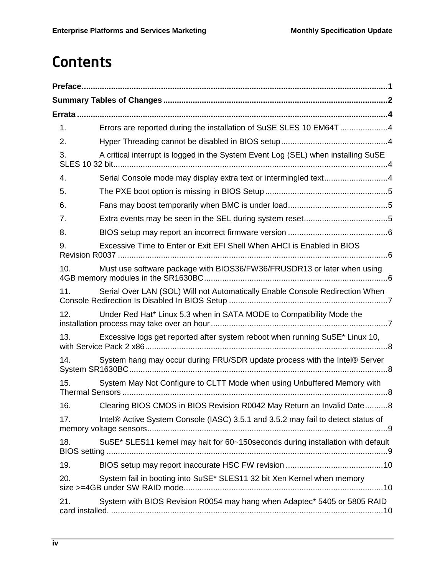## **Contents**

| 1.  | Errors are reported during the installation of SuSE SLES 10 EM64T 4               |
|-----|-----------------------------------------------------------------------------------|
| 2.  |                                                                                   |
| 3.  | A critical interrupt is logged in the System Event Log (SEL) when installing SuSE |
| 4.  | Serial Console mode may display extra text or intermingled text4                  |
| 5.  |                                                                                   |
| 6.  |                                                                                   |
| 7.  |                                                                                   |
| 8.  |                                                                                   |
| 9.  | Excessive Time to Enter or Exit EFI Shell When AHCI is Enabled in BIOS            |
| 10. | Must use software package with BIOS36/FW36/FRUSDR13 or later when using           |
| 11. | Serial Over LAN (SOL) Will not Automatically Enable Console Redirection When      |
| 12. | Under Red Hat* Linux 5.3 when in SATA MODE to Compatibility Mode the              |
| 13. | Excessive logs get reported after system reboot when running SuSE* Linux 10,      |
| 14. | System hang may occur during FRU/SDR update process with the Intel® Server        |
| 15. | System May Not Configure to CLTT Mode when using Unbuffered Memory with           |
| 16. | Clearing BIOS CMOS in BIOS Revision R0042 May Return an Invalid Date8             |
| 17. | Intel® Active System Console (IASC) 3.5.1 and 3.5.2 may fail to detect status of  |
| 18. | SuSE* SLES11 kernel may halt for 60~150 seconds during installation with default  |
| 19. |                                                                                   |
| 20. | System fail in booting into SuSE* SLES11 32 bit Xen Kernel when memory            |
| 21. | System with BIOS Revision R0054 may hang when Adaptec* 5405 or 5805 RAID          |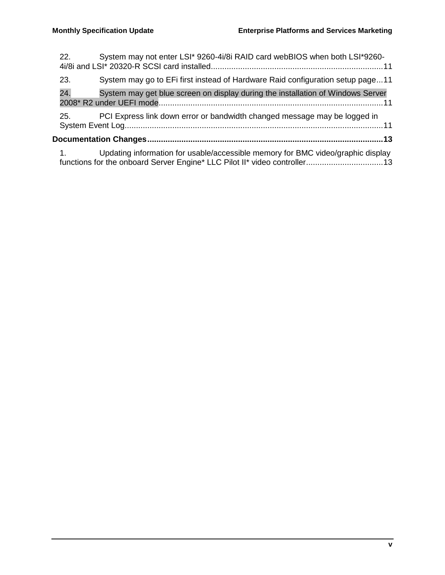| 22. | System may not enter LSI* 9260-4i/8i RAID card webBIOS when both LSI*9260-                                                                                   |
|-----|--------------------------------------------------------------------------------------------------------------------------------------------------------------|
| 23. | System may go to EFi first instead of Hardware Raid configuration setup page11                                                                               |
| 24. | System may get blue screen on display during the installation of Windows Server                                                                              |
| 25. | PCI Express link down error or bandwidth changed message may be logged in                                                                                    |
|     |                                                                                                                                                              |
| 1.  | Updating information for usable/accessible memory for BMC video/graphic display<br>functions for the onboard Server Engine* LLC Pilot II* video controller13 |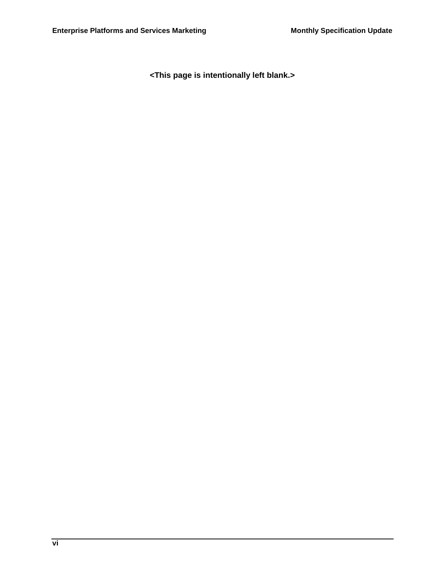**<This page is intentionally left blank.>**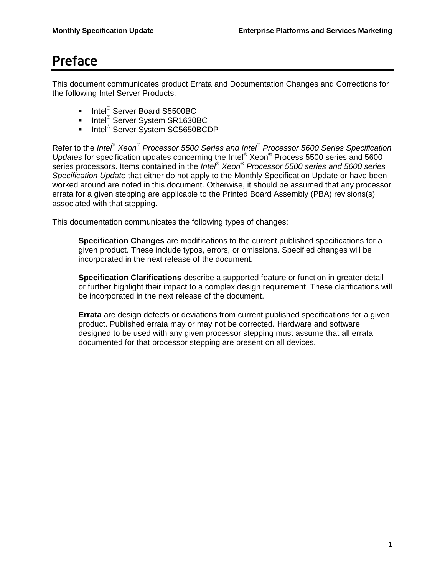### Preface

This document communicates product Errata and Documentation Changes and Corrections for the following Intel Server Products:

- Intel<sup>®</sup> Server Board S5500BC
- Intel<sup>®</sup> Server System SR1630BC
- Intel<sup>®</sup> Server System SC5650BCDP

Refer to the *Intel*® *Xeon*® *Processor 5500 Series and Intel® Processor 5600 Series Specification Updates* for specification updates concerning the Intel® Xeon® Process 5500 series and 5600 series processors. Items contained in the *Intel*® *Xeon*® *Processor 5500 series and 5600 series Specification Update* that either do not apply to the Monthly Specification Update or have been worked around are noted in this document. Otherwise, it should be assumed that any processor errata for a given stepping are applicable to the Printed Board Assembly (PBA) revisions(s) associated with that stepping.

This documentation communicates the following types of changes:

**Specification Changes** are modifications to the current published specifications for a given product. These include typos, errors, or omissions. Specified changes will be incorporated in the next release of the document.

**Specification Clarifications** describe a supported feature or function in greater detail or further highlight their impact to a complex design requirement. These clarifications will be incorporated in the next release of the document.

**Errata** are design defects or deviations from current published specifications for a given product. Published errata may or may not be corrected. Hardware and software designed to be used with any given processor stepping must assume that all errata documented for that processor stepping are present on all devices.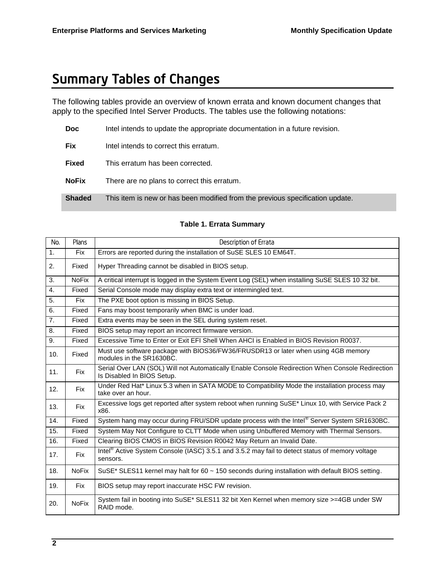### Summary Tables of Changes

The following tables provide an overview of known errata and known document changes that apply to the specified Intel Server Products. The tables use the following notations:

| Doc.          | Intel intends to update the appropriate documentation in a future revision.   |
|---------------|-------------------------------------------------------------------------------|
| <b>Fix</b>    | Intel intends to correct this erratum.                                        |
| <b>Fixed</b>  | This erratum has been corrected.                                              |
| <b>NoFix</b>  | There are no plans to correct this erratum.                                   |
| <b>Shaded</b> | This item is new or has been modified from the previous specification update. |

| No.              | Plans        | Description of Errata                                                                                                          |
|------------------|--------------|--------------------------------------------------------------------------------------------------------------------------------|
| 1 <sub>1</sub>   | <b>Fix</b>   | Errors are reported during the installation of SuSE SLES 10 EM64T.                                                             |
| 2.               | Fixed        | Hyper Threading cannot be disabled in BIOS setup.                                                                              |
| 3.               | <b>NoFix</b> | A critical interrupt is logged in the System Event Log (SEL) when installing SuSE SLES 10 32 bit.                              |
| $\overline{4}$ . | Fixed        | Serial Console mode may display extra text or intermingled text.                                                               |
| 5.               | <b>Fix</b>   | The PXE boot option is missing in BIOS Setup.                                                                                  |
| 6.               | Fixed        | Fans may boost temporarily when BMC is under load.                                                                             |
| 7 <sub>1</sub>   | Fixed        | Extra events may be seen in the SEL during system reset.                                                                       |
| 8.               | Fixed        | BIOS setup may report an incorrect firmware version.                                                                           |
| 9.               | Fixed        | Excessive Time to Enter or Exit EFI Shell When AHCI is Enabled in BIOS Revision R0037.                                         |
| 10.              | Fixed        | Must use software package with BIOS36/FW36/FRUSDR13 or later when using 4GB memory<br>modules in the SR1630BC.                 |
| 11.              | Fix          | Serial Over LAN (SOL) Will not Automatically Enable Console Redirection When Console Redirection<br>Is Disabled In BIOS Setup. |
| 12.              | <b>Fix</b>   | Under Red Hat* Linux 5.3 when in SATA MODE to Compatibility Mode the installation process may<br>take over an hour.            |
| 13.              | <b>Fix</b>   | Excessive logs get reported after system reboot when running SuSE* Linux 10, with Service Pack 2<br>x86.                       |
| 14.              | Fixed        | System hang may occur during FRU/SDR update process with the Intel® Server System SR1630BC.                                    |
| 15.              | Fixed        | System May Not Configure to CLTT Mode when using Unbuffered Memory with Thermal Sensors.                                       |
| 16.              | Fixed        | Clearing BIOS CMOS in BIOS Revision R0042 May Return an Invalid Date.                                                          |
| 17.              | <b>Fix</b>   | Intel® Active System Console (IASC) 3.5.1 and 3.5.2 may fail to detect status of memory voltage<br>sensors.                    |
| 18.              | <b>NoFix</b> | SuSE* SLES11 kernel may halt for 60 $\sim$ 150 seconds during installation with default BIOS setting.                          |
| 19.              | <b>Fix</b>   | BIOS setup may report inaccurate HSC FW revision.                                                                              |
| 20.              | <b>NoFix</b> | System fail in booting into SuSE* SLES11 32 bit Xen Kernel when memory size >=4GB under SW<br>RAID mode.                       |

#### **Table 1. Errata Summary**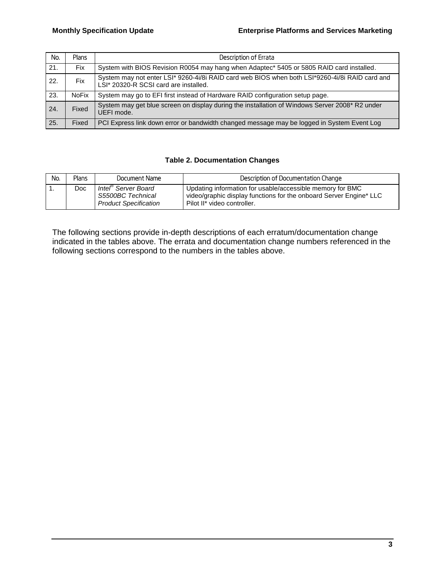| No. | <b>Plans</b> | Description of Errata                                                                                                                   |
|-----|--------------|-----------------------------------------------------------------------------------------------------------------------------------------|
| 21. | <b>Fix</b>   | System with BIOS Revision R0054 may hang when Adaptec* 5405 or 5805 RAID card installed.                                                |
| 22. | Fix          | System may not enter LSI* 9260-4i/8i RAID card web BIOS when both LSI*9260-4i/8i RAID card and<br>LSI* 20320-R SCSI card are installed. |
| 23. | <b>NoFix</b> | System may go to EFI first instead of Hardware RAID configuration setup page.                                                           |
| 24. | Fixed        | System may get blue screen on display during the installation of Windows Server 2008* R2 under<br>UEFI mode.                            |
| 25. | Fixed        | PCI Express link down error or bandwidth changed message may be logged in System Event Log                                              |

#### **Table 2. Documentation Changes**

| No. | Plans | Document Name                                                                        | Description of Documentation Change                                                                                                                            |
|-----|-------|--------------------------------------------------------------------------------------|----------------------------------------------------------------------------------------------------------------------------------------------------------------|
|     | Doc.  | Intel <sup>®</sup> Server Board<br>S5500BC Technical<br><b>Product Specification</b> | Updating information for usable/accessible memory for BMC<br>video/graphic display functions for the onboard Server Engine* LLC<br>Pilot II* video controller. |

The following sections provide in-depth descriptions of each erratum/documentation change indicated in the tables above. The errata and documentation change numbers referenced in the following sections correspond to the numbers in the tables above.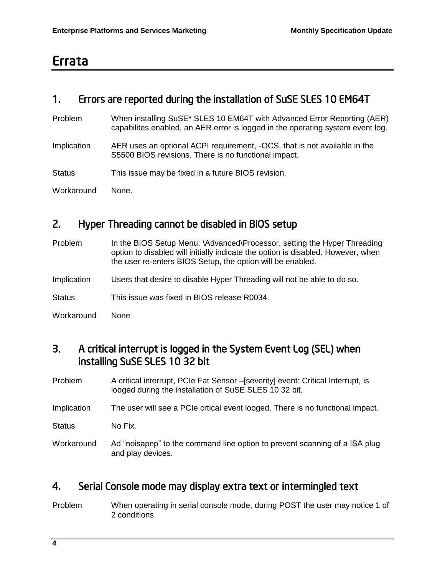### Errata

### 1. Errors are reported during the installation of SuSE SLES 10 EM64T

- Problem When installing SuSE\* SLES 10 EM64T with Advanced Error Reporting (AER) capabilites enabled, an AER error is logged in the operating system event log.
- Implication AER uses an optional ACPI requirement, -OCS, that is not available in the S5500 BIOS revisions. There is no functional impact.
- Status This issue may be fixed in a future BIOS revision.
- Workaround None.

#### 2. Hyper Threading cannot be disabled in BIOS setup

- Problem In the BIOS Setup Menu: \Advanced\Processor, setting the Hyper Threading option to disabled will initially indicate the option is disabled. However, when the user re-enters BIOS Setup, the option will be enabled. Implication Users that desire to disable Hyper Threading will not be able to do so. Status This issue was fixed in BIOS release R0034.
- Workaround None

#### 3. A critical interrupt is logged in the System Event Log (SEL) when installing SuSE SLES 10 32 bit

- Problem A critical interrupt, PCIe Fat Sensor –[severity] event: Critical Interrupt, is looged during the installation of SuSE SLES 10 32 bit.
- Implication The user will see a PCIe crtical event looged. There is no functional impact.
- Status No Fix.
- Workaround Ad "noisapnp" to the command line option to prevent scanning of a ISA plug and play devices.

#### 4. Serial Console mode may display extra text or intermingled text

Problem When operating in serial console mode, during POST the user may notice 1 of 2 conditions.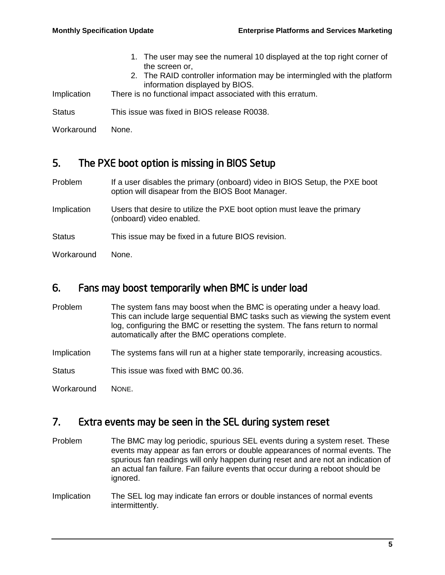1. The user may see the numeral 10 displayed at the top right corner of the screen or, 2. The RAID controller information may be intermingled with the platform information displayed by BIOS. Implication There is no functional impact associated with this erratum. Status This issue was fixed in BIOS release R0038.

Workaround None.

### 5. The PXE boot option is missing in BIOS Setup

- Problem If a user disables the primary (onboard) video in BIOS Setup, the PXE boot option will disapear from the BIOS Boot Manager.
- Implication Users that desire to utilize the PXE boot option must leave the primary (onboard) video enabled.
- Status This issue may be fixed in a future BIOS revision.
- Workaround None.

#### 6. Fans may boost temporarily when BMC is under load

- Problem The system fans may boost when the BMC is operating under a heavy load. This can include large sequential BMC tasks such as viewing the system event log, configuring the BMC or resetting the system. The fans return to normal automatically after the BMC operations complete.
- Implication The systems fans will run at a higher state temporarily, increasing acoustics.
- Status This issue was fixed with BMC 00.36.

Workaround NONE.

#### 7. Extra events may be seen in the SEL during system reset

- Problem The BMC may log periodic, spurious SEL events during a system reset. These events may appear as fan errors or double appearances of normal events. The spurious fan readings will only happen during reset and are not an indication of an actual fan failure. Fan failure events that occur during a reboot should be ignored.
- Implication The SEL log may indicate fan errors or double instances of normal events intermittently.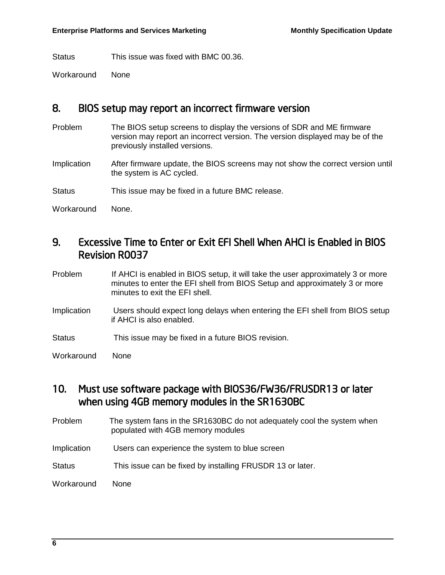Status This issue was fixed with BMC 00.36.

Workaround None

#### 8. BIOS setup may report an incorrect firmware version

Problem The BIOS setup screens to display the versions of SDR and ME firmware version may report an incorrect version. The version displayed may be of the previously installed versions.

Implication After firmware update, the BIOS screens may not show the correct version until the system is AC cycled.

Status This issue may be fixed in a future BMC release.

Workaround None.

#### 9. Excessive Time to Enter or Exit EFI Shell When AHCI is Enabled in BIOS Revision R0037

- Problem If AHCI is enabled in BIOS setup, it will take the user approximately 3 or more minutes to enter the EFI shell from BIOS Setup and approximately 3 or more minutes to exit the EFI shell.
- Implication Users should expect long delays when entering the EFI shell from BIOS setup if AHCI is also enabled.
- Status This issue may be fixed in a future BIOS revision.
- Workaround None

#### 10. Must use software package with BIOS36/FW36/FRUSDR13 or later when using 4GB memory modules in the SR1630BC

- Problem The system fans in the SR1630BC do not adequately cool the system when populated with 4GB memory modules
- Implication Users can experience the system to blue screen
- Status This issue can be fixed by installing FRUSDR 13 or later.

Workaround None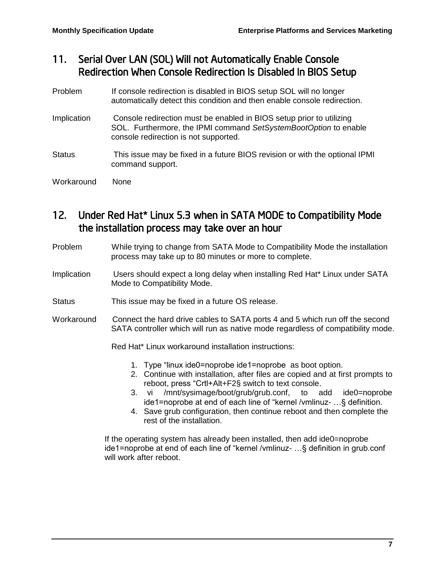### 11. Serial Over LAN (SOL) Will not Automatically Enable Console Redirection When Console Redirection Is Disabled In BIOS Setup

- Problem If console redirection is disabled in BIOS setup SOL will no longer automatically detect this condition and then enable console redirection.
- Implication Console redirection must be enabled in BIOS setup prior to utilizing SOL. Furthermore, the IPMI command *SetSystemBootOption* to enable console redirection is not supported.
- Status This issue may be fixed in a future BIOS revision or with the optional IPMI command support.
- Workaround None

### 12. Under Red Hat\* Linux 5.3 when in SATA MODE to Compatibility Mode the installation process may take over an hour

- Problem While trying to change from SATA Mode to Compatibility Mode the installation process may take up to 80 minutes or more to complete.
- Implication Users should expect a long delay when installing Red Hat\* Linux under SATA Mode to Compatibility Mode.
- Status This issue may be fixed in a future OS release.
- Workaround Connect the hard drive cables to SATA ports 4 and 5 which run off the second SATA controller which will run as native mode regardless of compatibility mode.

Red Hat\* Linux workaround installation instructions:

- 1. Type "linux ide0=noprobe ide1=noprobe as boot option.
- 2. Continue with installation, after files are copied and at first prompts to reboot, press "Crtl+Alt+F2§ switch to text console.
- 3. vi /mnt/sysimage/boot/grub/grub.conf, to add ide0=noprobe ide1=noprobe at end of each line of "kernel /vmlinuz- …§ definition.
- 4. Save grub configuration, then continue reboot and then complete the rest of the installation.

If the operating system has already been installed, then add ide0=noprobe ide1=noprobe at end of each line of "kernel /vmlinuz- …§ definition in grub.conf will work after reboot.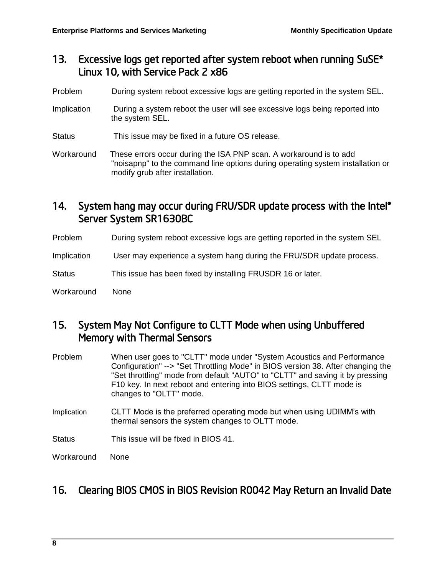#### 13. Excessive logs get reported after system reboot when running SuSE\* Linux 10, with Service Pack 2 x86

- Problem During system reboot excessive logs are getting reported in the system SEL.
- Implication During a system reboot the user will see excessive logs being reported into the system SEL.
- Status This issue may be fixed in a future OS release.

Workaround These errors occur during the ISA PNP scan. A workaround is to add "noisapnp" to the command line options during operating system installation or modify grub after installation.

#### 14. System hang may occur during FRU/SDR update process with the Intel® Server System SR1630BC

Problem During system reboot excessive logs are getting reported in the system SEL

Implication User may experience a system hang during the FRU/SDR update process.

Status This issue has been fixed by installing FRUSDR 16 or later.

Workaround None

#### 15. System May Not Configure to CLTT Mode when using Unbuffered Memory with Thermal Sensors

- Problem When user goes to "CLTT" mode under "System Acoustics and Performance Configuration" --> "Set Throttling Mode" in BIOS version 38. After changing the "Set throttling" mode from default "AUTO" to "CLTT" and saving it by pressing F10 key. In next reboot and entering into BIOS settings, CLTT mode is changes to "OLTT" mode.
- Implication CLTT Mode is the preferred operating mode but when using UDIMM's with thermal sensors the system changes to OLTT mode.
- Status This issue will be fixed in BIOS 41.

Workaround None

#### 16. Clearing BIOS CMOS in BIOS Revision R0042 May Return an Invalid Date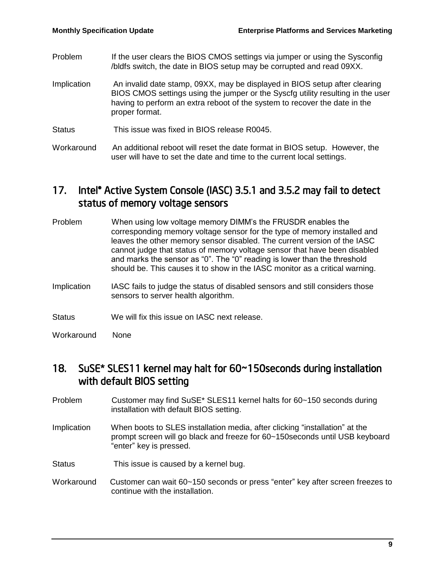- Problem If the user clears the BIOS CMOS settings via jumper or using the Sysconfig /bldfs switch, the date in BIOS setup may be corrupted and read 09XX. Implication An invalid date stamp, 09XX, may be displayed in BIOS setup after clearing
- BIOS CMOS settings using the jumper or the Syscfg utility resulting in the user having to perform an extra reboot of the system to recover the date in the proper format.
- Status This issue was fixed in BIOS release R0045.
- Workaround An additional reboot will reset the date format in BIOS setup. However, the user will have to set the date and time to the current local settings.

#### 17. Intel<sup>®</sup> Active System Console (IASC) 3.5.1 and 3.5.2 may fail to detect status of memory voltage sensors

| Problem     | When using low voltage memory DIMM's the FRUSDR enables the<br>corresponding memory voltage sensor for the type of memory installed and<br>leaves the other memory sensor disabled. The current version of the IASC<br>cannot judge that status of memory voltage sensor that have been disabled<br>and marks the sensor as "0". The "0" reading is lower than the threshold<br>should be. This causes it to show in the IASC monitor as a critical warning. |
|-------------|--------------------------------------------------------------------------------------------------------------------------------------------------------------------------------------------------------------------------------------------------------------------------------------------------------------------------------------------------------------------------------------------------------------------------------------------------------------|
| Implication | IASC fails to judge the status of disabled sensors and still considers those<br>sensors to server health algorithm.                                                                                                                                                                                                                                                                                                                                          |

- Status We will fix this issue on IASC next release.
- Workaround None

#### 18. SuSE\* SLES11 kernel may halt for 60~150seconds during installation with default BIOS setting

- Problem Customer may find SuSE\* SLES11 kernel halts for 60~150 seconds during installation with default BIOS setting.
- Implication When boots to SLES installation media, after clicking "installation" at the prompt screen will go black and freeze for 60~150seconds until USB keyboard "enter" key is pressed.
- Status This issue is caused by a kernel bug.
- Workaround Customer can wait 60~150 seconds or press "enter" key after screen freezes to continue with the installation.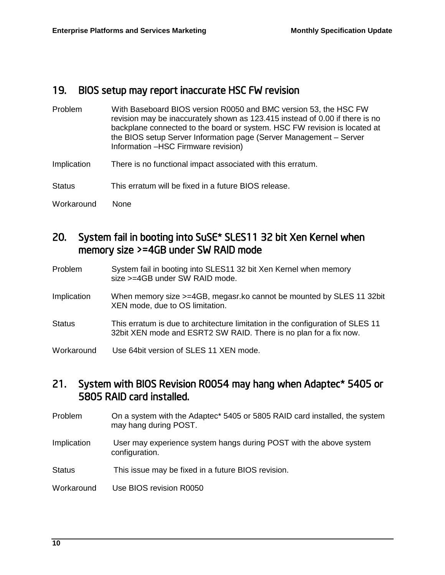#### 19. BIOS setup may report inaccurate HSC FW revision

| Problem       | With Baseboard BIOS version R0050 and BMC version 53, the HSC FW<br>revision may be inaccurately shown as 123.415 instead of 0.00 if there is no<br>backplane connected to the board or system. HSC FW revision is located at<br>the BIOS setup Server Information page (Server Management - Server<br>Information -HSC Firmware revision) |
|---------------|--------------------------------------------------------------------------------------------------------------------------------------------------------------------------------------------------------------------------------------------------------------------------------------------------------------------------------------------|
| Implication   | There is no functional impact associated with this erratum.                                                                                                                                                                                                                                                                                |
| <b>Status</b> | This erratum will be fixed in a future BIOS release.                                                                                                                                                                                                                                                                                       |
| Workaround    | None                                                                                                                                                                                                                                                                                                                                       |

#### 20. System fail in booting into SuSE\* SLES11 32 bit Xen Kernel when memory size >=4GB under SW RAID mode

| Problem       | System fail in booting into SLES11 32 bit Xen Kernel when memory<br>size >=4GB under SW RAID mode.                                                  |
|---------------|-----------------------------------------------------------------------------------------------------------------------------------------------------|
| Implication   | When memory size >=4GB, megasr. ko cannot be mounted by SLES 11 32bit<br>XEN mode, due to OS limitation.                                            |
| <b>Status</b> | This erratum is due to architecture limitation in the configuration of SLES 11<br>32bit XEN mode and ESRT2 SW RAID. There is no plan for a fix now. |
| Workaround    | Use 64bit version of SLES 11 XEN mode.                                                                                                              |

#### 21. System with BIOS Revision R0054 may hang when Adaptec\* 5405 or 5805 RAID card installed.

- Problem On a system with the Adaptec\* 5405 or 5805 RAID card installed, the system may hang during POST.
- Implication User may experience system hangs during POST with the above system configuration.
- Status This issue may be fixed in a future BIOS revision.
- Workaround Use BIOS revision R0050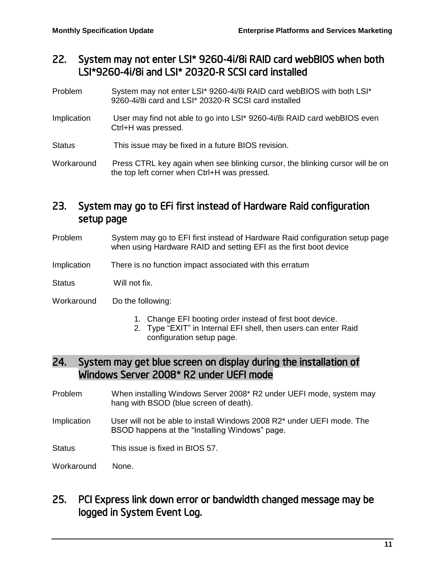#### 22. System may not enter LSI\* 9260-4i/8i RAID card webBIOS when both LSI\*9260-4i/8i and LSI\* 20320-R SCSI card installed

- Problem System may not enter LSI\* 9260-4i/8i RAID card webBIOS with both LSI\* 9260-4i/8i card and LSI\* 20320-R SCSI card installed
- Implication User may find not able to go into LSI\* 9260-4i/8i RAID card webBIOS even Ctrl+H was pressed.
- Status This issue may be fixed in a future BIOS revision.

Workaround Press CTRL key again when see blinking cursor, the blinking cursor will be on the top left corner when Ctrl+H was pressed.

### 23. System may go to EFi first instead of Hardware Raid configuration setup page

- Problem System may go to EFI first instead of Hardware Raid configuration setup page when using Hardware RAID and setting EFI as the first boot device
- Implication There is no function impact associated with this erratum

Status Will not fix.

Workaround Do the following:

- 1. Change EFI booting order instead of first boot device.
- 2. Type "EXIT" in Internal EFI shell, then users can enter Raid configuration setup page.

#### 24. System may get blue screen on display during the installation of Windows Server 2008\* R2 under UEFI mode

- Problem When installing Windows Server 2008\* R2 under UEFI mode, system may hang with BSOD (blue screen of death).
- Implication User will not be able to install Windows 2008 R2\* under UEFI mode. The BSOD happens at the "Installing Windows" page.

Status This issue is fixed in BIOS 57.

Workaround None.

25. PCI Express link down error or bandwidth changed message may be logged in System Event Log.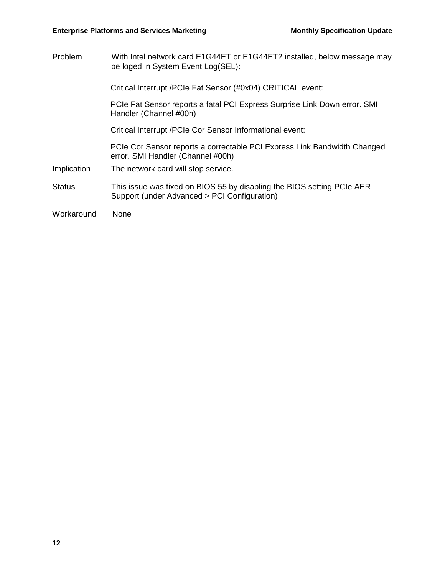Problem With Intel network card E1G44ET or E1G44ET2 installed, below message may be loged in System Event Log(SEL):

Critical Interrupt /PCIe Fat Sensor (#0x04) CRITICAL event:

PCIe Fat Sensor reports a fatal PCI Express Surprise Link Down error. SMI Handler (Channel #00h)

Critical Interrupt /PCIe Cor Sensor Informational event:

PCIe Cor Sensor reports a correctable PCI Express Link Bandwidth Changed error. SMI Handler (Channel #00h)

- Implication The network card will stop service.
- Status This issue was fixed on BIOS 55 by disabling the BIOS setting PCIe AER Support (under Advanced > PCI Configuration)

Workaround None